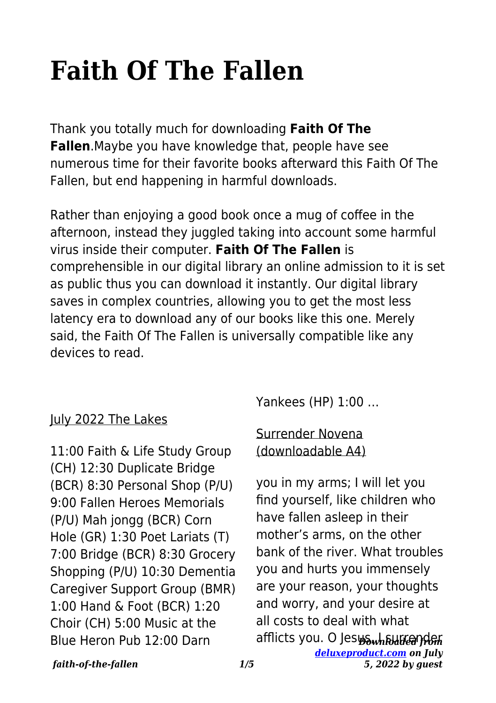# **Faith Of The Fallen**

Thank you totally much for downloading **Faith Of The Fallen**.Maybe you have knowledge that, people have see numerous time for their favorite books afterward this Faith Of The Fallen, but end happening in harmful downloads.

Rather than enjoying a good book once a mug of coffee in the afternoon, instead they juggled taking into account some harmful virus inside their computer. **Faith Of The Fallen** is comprehensible in our digital library an online admission to it is set as public thus you can download it instantly. Our digital library saves in complex countries, allowing you to get the most less latency era to download any of our books like this one. Merely said, the Faith Of The Fallen is universally compatible like any devices to read.

## July 2022 The Lakes

11:00 Faith & Life Study Group (CH) 12:30 Duplicate Bridge (BCR) 8:30 Personal Shop (P/U) 9:00 Fallen Heroes Memorials (P/U) Mah jongg (BCR) Corn Hole (GR) 1:30 Poet Lariats (T) 7:00 Bridge (BCR) 8:30 Grocery Shopping (P/U) 10:30 Dementia Caregiver Support Group (BMR) 1:00 Hand & Foot (BCR) 1:20 Choir (CH) 5:00 Music at the Blue Heron Pub 12:00 Darn

Yankees (HP) 1:00 …

#### Surrender Novena (downloadable A4)

afflicts you. O Jes<del>u‱hຎuට@}dഐ</del> *[deluxeproduct.com](http://deluxeproduct.com) on July* you in my arms; I will let you find yourself, like children who have fallen asleep in their mother's arms, on the other bank of the river. What troubles you and hurts you immensely are your reason, your thoughts and worry, and your desire at all costs to deal with what

#### *faith-of-the-fallen 1/5*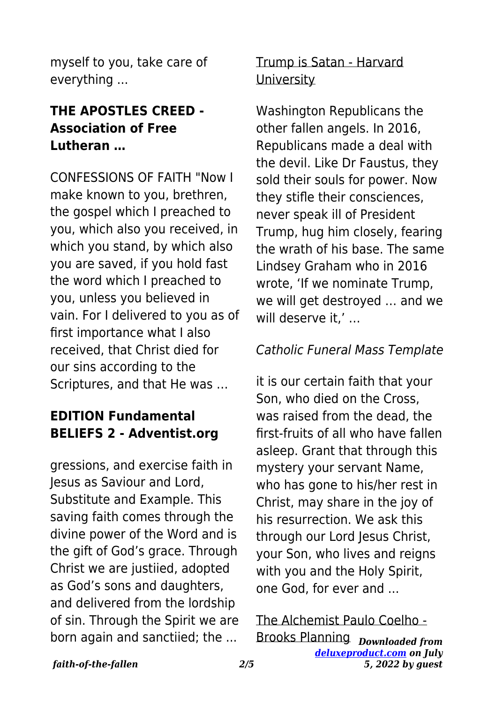myself to you, take care of everything ...

## **THE APOSTLES CREED - Association of Free Lutheran …**

CONFESSIONS OF FAITH "Now I make known to you, brethren, the gospel which I preached to you, which also you received, in which you stand, by which also you are saved, if you hold fast the word which I preached to you, unless you believed in vain. For I delivered to you as of first importance what I also received, that Christ died for our sins according to the Scriptures, and that He was …

# **EDITION Fundamental BELIEFS 2 - Adventist.org**

gressions, and exercise faith in Jesus as Saviour and Lord, Substitute and Example. This saving faith comes through the divine power of the Word and is the gift of God's grace. Through Christ we are justiied, adopted as God's sons and daughters, and delivered from the lordship of sin. Through the Spirit we are born again and sanctiied; the ...

# Trump is Satan - Harvard **University**

Washington Republicans the other fallen angels. In 2016, Republicans made a deal with the devil. Like Dr Faustus, they sold their souls for power. Now they stifle their consciences, never speak ill of President Trump, hug him closely, fearing the wrath of his base. The same Lindsey Graham who in 2016 wrote, 'If we nominate Trump, we will get destroyed … and we will deserve it,' …

#### Catholic Funeral Mass Template

it is our certain faith that your Son, who died on the Cross, was raised from the dead, the first-fruits of all who have fallen asleep. Grant that through this mystery your servant Name, who has gone to his/her rest in Christ, may share in the joy of his resurrection. We ask this through our Lord Jesus Christ, your Son, who lives and reigns with you and the Holy Spirit, one God, for ever and ...

#### *Downloaded from* Brooks Planning*[deluxeproduct.com](http://deluxeproduct.com) on July 5, 2022 by guest* The Alchemist Paulo Coelho -

#### *faith-of-the-fallen 2/5*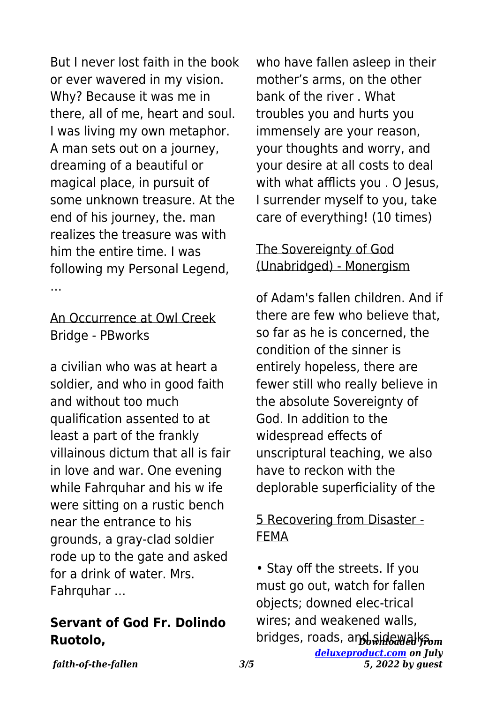But I never lost faith in the book or ever wavered in my vision. Why? Because it was me in there, all of me, heart and soul. I was living my own metaphor. A man sets out on a journey, dreaming of a beautiful or magical place, in pursuit of some unknown treasure. At the end of his journey, the. man realizes the treasure was with him the entire time. I was following my Personal Legend, …

#### An Occurrence at Owl Creek Bridge - PBworks

a civilian who was at heart a soldier, and who in good faith and without too much qualification assented to at least a part of the frankly villainous dictum that all is fair in love and war. One evening while Fahrquhar and his w ife were sitting on a rustic bench near the entrance to his grounds, a gray-clad soldier rode up to the gate and asked for a drink of water. Mrs. Fahrquhar …

#### **Servant of God Fr. Dolindo Ruotolo,**

who have fallen asleep in their mother's arms, on the other bank of the river . What troubles you and hurts you immensely are your reason, your thoughts and worry, and your desire at all costs to deal with what afflicts you . O Jesus, I surrender myself to you, take care of everything! (10 times)

# The Sovereignty of God (Unabridged) - Monergism

of Adam's fallen children. And if there are few who believe that, so far as he is concerned, the condition of the sinner is entirely hopeless, there are fewer still who really believe in the absolute Sovereignty of God. In addition to the widespread effects of unscriptural teaching, we also have to reckon with the deplorable superficiality of the

## 5 Recovering from Disaster - FEMA

bridges, roads, and sidewalk<del>f</del>om *[deluxeproduct.com](http://deluxeproduct.com) on July* • Stay off the streets. If you must go out, watch for fallen objects; downed elec-trical wires; and weakened walls,

*faith-of-the-fallen 3/5*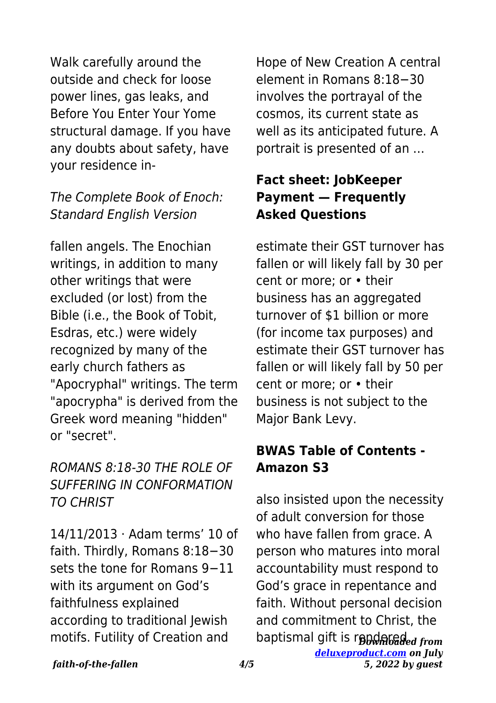Walk carefully around the outside and check for loose power lines, gas leaks, and Before You Enter Your Yome structural damage. If you have any doubts about safety, have your residence in-

## The Complete Book of Enoch: Standard English Version

fallen angels. The Enochian writings, in addition to many other writings that were excluded (or lost) from the Bible (i.e., the Book of Tobit, Esdras, etc.) were widely recognized by many of the early church fathers as "Apocryphal" writings. The term "apocrypha" is derived from the Greek word meaning "hidden" or "secret".

# ROMANS 8:18-30 THE ROLE OF SUFFERING IN CONFORMATION TO CHRIST

14/11/2013 · Adam terms' 10 of faith. Thirdly, Romans 8:18−30 sets the tone for Romans 9−11 with its argument on God's faithfulness explained according to traditional Jewish motifs. Futility of Creation and

Hope of New Creation A central element in Romans 8:18−30 involves the portrayal of the cosmos, its current state as well as its anticipated future. A portrait is presented of an …

# **Fact sheet: JobKeeper Payment — Frequently Asked Questions**

estimate their GST turnover has fallen or will likely fall by 30 per cent or more; or • their business has an aggregated turnover of \$1 billion or more (for income tax purposes) and estimate their GST turnover has fallen or will likely fall by 50 per cent or more; or • their business is not subject to the Major Bank Levy.

# **BWAS Table of Contents - Amazon S3**

baptismal gift is r**endaleded** from *[deluxeproduct.com](http://deluxeproduct.com) on July 5, 2022 by guest* also insisted upon the necessity of adult conversion for those who have fallen from grace. A person who matures into moral accountability must respond to God's grace in repentance and faith. Without personal decision and commitment to Christ, the

*faith-of-the-fallen 4/5*